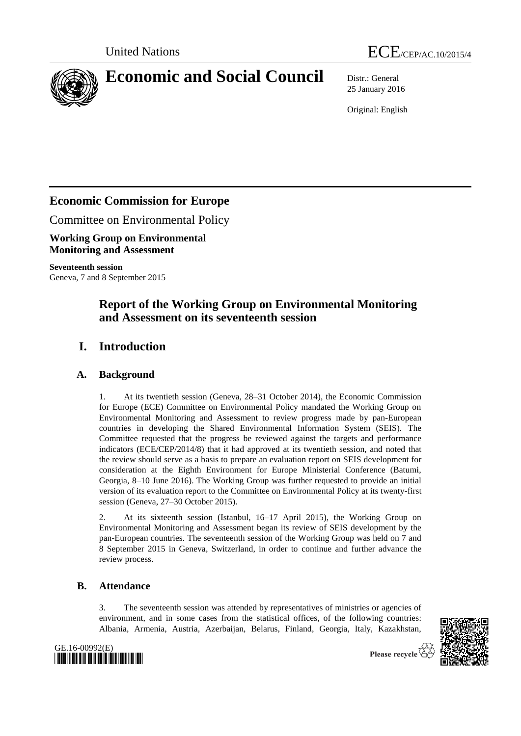



# **Economic and Social Council** Distr.: General

25 January 2016

Original: English

# **Economic Commission for Europe**

Committee on Environmental Policy

**Working Group on Environmental Monitoring and Assessment**

**Seventeenth session** Geneva, 7 and 8 September 2015

# **Report of the Working Group on Environmental Monitoring and Assessment on its seventeenth session**

# **I. Introduction**

### **A. Background**

1. At its twentieth session (Geneva, 28–31 October 2014), the Economic Commission for Europe (ECE) Committee on Environmental Policy mandated the Working Group on Environmental Monitoring and Assessment to review progress made by pan-European countries in developing the Shared Environmental Information System (SEIS). The Committee requested that the progress be reviewed against the targets and performance indicators (ECE/CEP/2014/8) that it had approved at its twentieth session, and noted that the review should serve as a basis to prepare an evaluation report on SEIS development for consideration at the Eighth Environment for Europe Ministerial Conference (Batumi, Georgia, 8–10 June 2016). The Working Group was further requested to provide an initial version of its evaluation report to the Committee on Environmental Policy at its twenty-first session (Geneva, 27–30 October 2015).

2. At its sixteenth session (Istanbul, 16–17 April 2015), the Working Group on Environmental Monitoring and Assessment began its review of SEIS development by the pan-European countries. The seventeenth session of the Working Group was held on 7 and 8 September 2015 in Geneva, Switzerland, in order to continue and further advance the review process.

### **B. Attendance**

3. The seventeenth session was attended by representatives of ministries or agencies of environment, and in some cases from the statistical offices, of the following countries: Albania, Armenia, Austria, Azerbaijan, Belarus, Finland, Georgia, Italy, Kazakhstan,



Please recycle

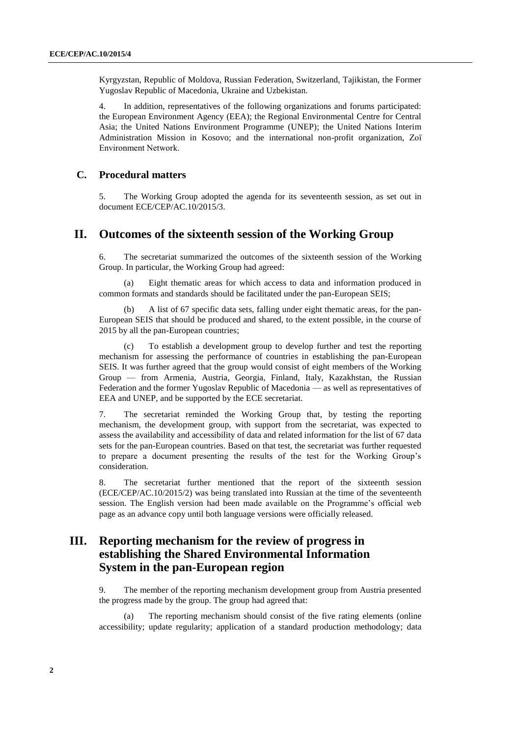Kyrgyzstan, Republic of Moldova, Russian Federation, Switzerland, Tajikistan, the Former Yugoslav Republic of Macedonia, Ukraine and Uzbekistan.

4. In addition, representatives of the following organizations and forums participated: the European Environment Agency (EEA); the Regional Environmental Centre for Central Asia; the United Nations Environment Programme (UNEP); the United Nations Interim Administration Mission in Kosovo; and the international non-profit organization, Zoï Environment Network.

#### **C. Procedural matters**

5. The Working Group adopted the agenda for its seventeenth session, as set out in document ECE/CEP/AC.10/2015/3.

### **II. Outcomes of the sixteenth session of the Working Group**

6. The secretariat summarized the outcomes of the sixteenth session of the Working Group. In particular, the Working Group had agreed:

(a) Eight thematic areas for which access to data and information produced in common formats and standards should be facilitated under the pan-European SEIS;

A list of 67 specific data sets, falling under eight thematic areas, for the pan-European SEIS that should be produced and shared, to the extent possible, in the course of 2015 by all the pan-European countries;

To establish a development group to develop further and test the reporting mechanism for assessing the performance of countries in establishing the pan-European SEIS. It was further agreed that the group would consist of eight members of the Working Group — from Armenia, Austria, Georgia, Finland, Italy, Kazakhstan, the Russian Federation and the former Yugoslav Republic of Macedonia — as well as representatives of EEA and UNEP, and be supported by the ECE secretariat.

7. The secretariat reminded the Working Group that, by testing the reporting mechanism, the development group, with support from the secretariat, was expected to assess the availability and accessibility of data and related information for the list of 67 data sets for the pan-European countries. Based on that test, the secretariat was further requested to prepare a document presenting the results of the test for the Working Group's consideration.

8. The secretariat further mentioned that the report of the sixteenth session (ECE/CEP/AC.10/2015/2) was being translated into Russian at the time of the seventeenth session. The English version had been made available on the Programme's official web page as an advance copy until both language versions were officially released.

# **III. Reporting mechanism for the review of progress in establishing the Shared Environmental Information System in the pan-European region**

9. The member of the reporting mechanism development group from Austria presented the progress made by the group. The group had agreed that:

The reporting mechanism should consist of the five rating elements (online accessibility; update regularity; application of a standard production methodology; data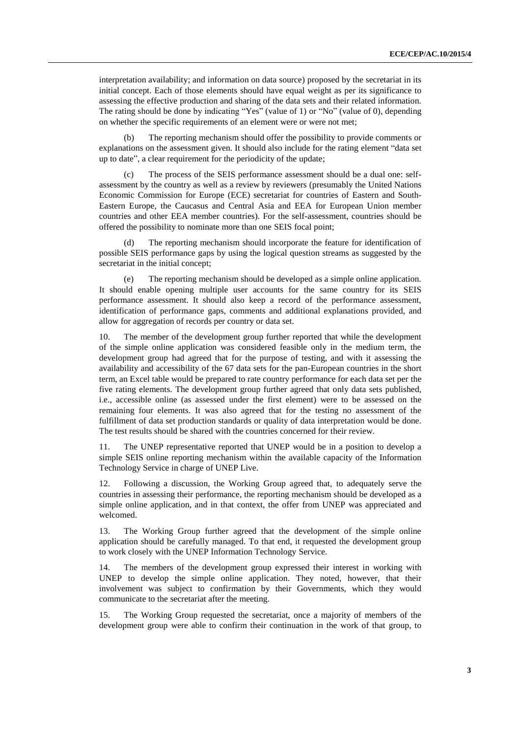interpretation availability; and information on data source) proposed by the secretariat in its initial concept. Each of those elements should have equal weight as per its significance to assessing the effective production and sharing of the data sets and their related information. The rating should be done by indicating "Yes" (value of 1) or "No" (value of 0), depending on whether the specific requirements of an element were or were not met;

(b) The reporting mechanism should offer the possibility to provide comments or explanations on the assessment given. It should also include for the rating element "data set up to date", a clear requirement for the periodicity of the update;

The process of the SEIS performance assessment should be a dual one: selfassessment by the country as well as a review by reviewers (presumably the United Nations Economic Commission for Europe (ECE) secretariat for countries of Eastern and South-Eastern Europe, the Caucasus and Central Asia and EEA for European Union member countries and other EEA member countries). For the self-assessment, countries should be offered the possibility to nominate more than one SEIS focal point;

(d) The reporting mechanism should incorporate the feature for identification of possible SEIS performance gaps by using the logical question streams as suggested by the secretariat in the initial concept;

(e) The reporting mechanism should be developed as a simple online application. It should enable opening multiple user accounts for the same country for its SEIS performance assessment. It should also keep a record of the performance assessment, identification of performance gaps, comments and additional explanations provided, and allow for aggregation of records per country or data set.

10. The member of the development group further reported that while the development of the simple online application was considered feasible only in the medium term, the development group had agreed that for the purpose of testing, and with it assessing the availability and accessibility of the 67 data sets for the pan-European countries in the short term, an Excel table would be prepared to rate country performance for each data set per the five rating elements. The development group further agreed that only data sets published, i.e., accessible online (as assessed under the first element) were to be assessed on the remaining four elements. It was also agreed that for the testing no assessment of the fulfillment of data set production standards or quality of data interpretation would be done. The test results should be shared with the countries concerned for their review.

11. The UNEP representative reported that UNEP would be in a position to develop a simple SEIS online reporting mechanism within the available capacity of the Information Technology Service in charge of UNEP Live.

12. Following a discussion, the Working Group agreed that, to adequately serve the countries in assessing their performance, the reporting mechanism should be developed as a simple online application, and in that context, the offer from UNEP was appreciated and welcomed.

13. The Working Group further agreed that the development of the simple online application should be carefully managed. To that end, it requested the development group to work closely with the UNEP Information Technology Service.

14. The members of the development group expressed their interest in working with UNEP to develop the simple online application. They noted, however, that their involvement was subject to confirmation by their Governments, which they would communicate to the secretariat after the meeting.

15. The Working Group requested the secretariat, once a majority of members of the development group were able to confirm their continuation in the work of that group, to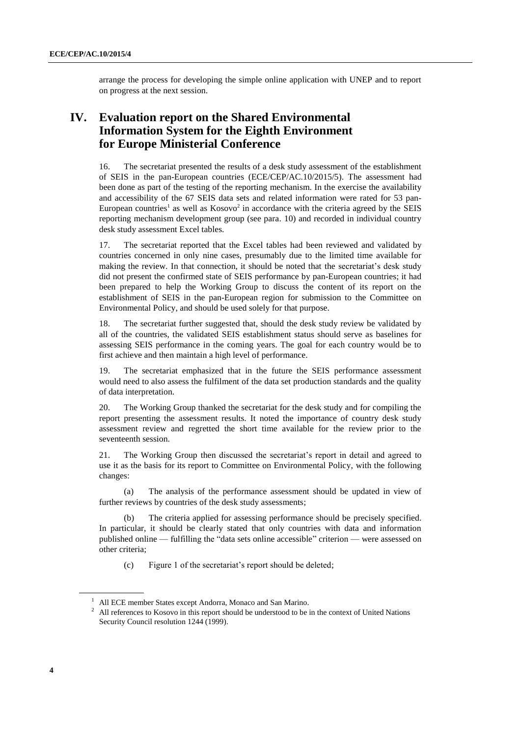arrange the process for developing the simple online application with UNEP and to report on progress at the next session.

# **IV. Evaluation report on the Shared Environmental Information System for the Eighth Environment for Europe Ministerial Conference**

16. The secretariat presented the results of a desk study assessment of the establishment of SEIS in the pan-European countries (ECE/CEP/AC.10/2015/5). The assessment had been done as part of the testing of the reporting mechanism. In the exercise the availability and accessibility of the 67 SEIS data sets and related information were rated for 53 pan-European countries<sup>1</sup> as well as  $Kosovo<sup>2</sup>$  in accordance with the criteria agreed by the SEIS reporting mechanism development group (see para. 10) and recorded in individual country desk study assessment Excel tables.

17. The secretariat reported that the Excel tables had been reviewed and validated by countries concerned in only nine cases, presumably due to the limited time available for making the review. In that connection, it should be noted that the secretariat's desk study did not present the confirmed state of SEIS performance by pan-European countries; it had been prepared to help the Working Group to discuss the content of its report on the establishment of SEIS in the pan-European region for submission to the Committee on Environmental Policy, and should be used solely for that purpose.

18. The secretariat further suggested that, should the desk study review be validated by all of the countries, the validated SEIS establishment status should serve as baselines for assessing SEIS performance in the coming years. The goal for each country would be to first achieve and then maintain a high level of performance.

19. The secretariat emphasized that in the future the SEIS performance assessment would need to also assess the fulfilment of the data set production standards and the quality of data interpretation.

20. The Working Group thanked the secretariat for the desk study and for compiling the report presenting the assessment results. It noted the importance of country desk study assessment review and regretted the short time available for the review prior to the seventeenth session.

21. The Working Group then discussed the secretariat's report in detail and agreed to use it as the basis for its report to Committee on Environmental Policy, with the following changes:

(a) The analysis of the performance assessment should be updated in view of further reviews by countries of the desk study assessments;

The criteria applied for assessing performance should be precisely specified. In particular, it should be clearly stated that only countries with data and information published online — fulfilling the "data sets online accessible" criterion — were assessed on other criteria;

(c) Figure 1 of the secretariat's report should be deleted;

<sup>&</sup>lt;sup>1</sup> All ECE member States except Andorra, Monaco and San Marino.

<sup>&</sup>lt;sup>2</sup> All references to Kosovo in this report should be understood to be in the context of United Nations Security Council resolution 1244 (1999).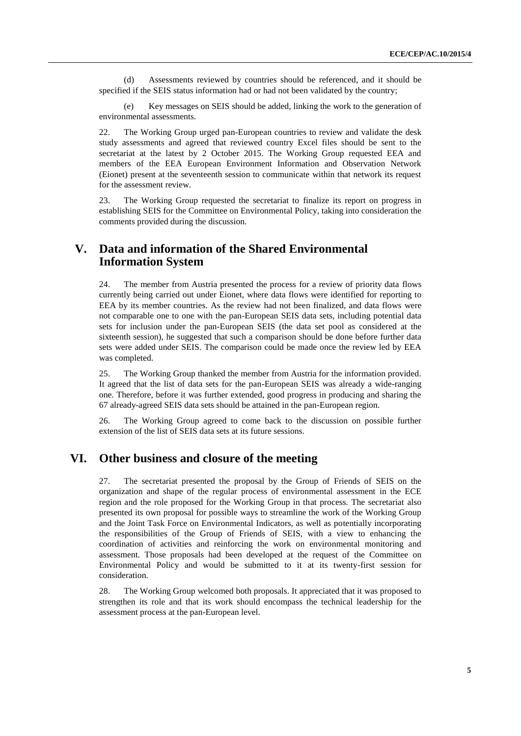(d) Assessments reviewed by countries should be referenced, and it should be specified if the SEIS status information had or had not been validated by the country;

(e) Key messages on SEIS should be added, linking the work to the generation of environmental assessments.

22. The Working Group urged pan-European countries to review and validate the desk study assessments and agreed that reviewed country Excel files should be sent to the secretariat at the latest by 2 October 2015. The Working Group requested EEA and members of the EEA European Environment Information and Observation Network (Eionet) present at the seventeenth session to communicate within that network its request for the assessment review.

23. The Working Group requested the secretariat to finalize its report on progress in establishing SEIS for the Committee on Environmental Policy, taking into consideration the comments provided during the discussion.

# **V. Data and information of the Shared Environmental Information System**

24. The member from Austria presented the process for a review of priority data flows currently being carried out under Eionet, where data flows were identified for reporting to EEA by its member countries. As the review had not been finalized, and data flows were not comparable one to one with the pan-European SEIS data sets, including potential data sets for inclusion under the pan-European SEIS (the data set pool as considered at the sixteenth session), he suggested that such a comparison should be done before further data sets were added under SEIS. The comparison could be made once the review led by EEA was completed.

25. The Working Group thanked the member from Austria for the information provided. It agreed that the list of data sets for the pan-European SEIS was already a wide-ranging one. Therefore, before it was further extended, good progress in producing and sharing the 67 already-agreed SEIS data sets should be attained in the pan-European region.

26. The Working Group agreed to come back to the discussion on possible further extension of the list of SEIS data sets at its future sessions.

# **VI. Other business and closure of the meeting**

27. The secretariat presented the proposal by the Group of Friends of SEIS on the organization and shape of the regular process of environmental assessment in the ECE region and the role proposed for the Working Group in that process. The secretariat also presented its own proposal for possible ways to streamline the work of the Working Group and the Joint Task Force on Environmental Indicators, as well as potentially incorporating the responsibilities of the Group of Friends of SEIS, with a view to enhancing the coordination of activities and reinforcing the work on environmental monitoring and assessment. Those proposals had been developed at the request of the Committee on Environmental Policy and would be submitted to it at its twenty-first session for consideration.

28. The Working Group welcomed both proposals. It appreciated that it was proposed to strengthen its role and that its work should encompass the technical leadership for the assessment process at the pan-European level.